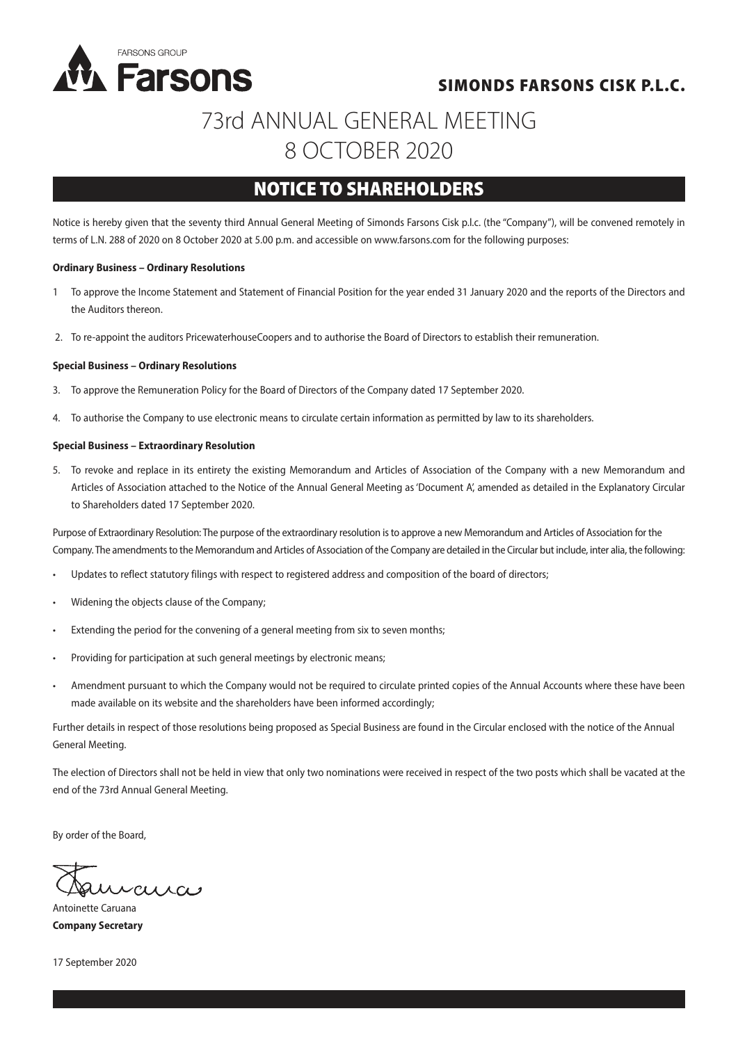

### SIMONDS FARSONS CISK P.L.C.

# 73rd ANNUAL GENERAL MEETING 8 OCTOBER 2020

## NOTICE TO SHAREHOLDERS

Notice is hereby given that the seventy third Annual General Meeting of Simonds Farsons Cisk p.l.c. (the "Company"), will be convened remotely in terms of L.N. 288 of 2020 on 8 October 2020 at 5.00 p.m. and accessible on www.farsons.com for the following purposes:

#### **Ordinary Business – Ordinary Resolutions**

- 1 To approve the Income Statement and Statement of Financial Position for the year ended 31 January 2020 and the reports of the Directors and the Auditors thereon.
- 2. To re-appoint the auditors PricewaterhouseCoopers and to authorise the Board of Directors to establish their remuneration.

#### **Special Business – Ordinary Resolutions**

- 3. To approve the Remuneration Policy for the Board of Directors of the Company dated 17 September 2020.
- 4. To authorise the Company to use electronic means to circulate certain information as permitted by law to its shareholders.

#### **Special Business – Extraordinary Resolution**

5. To revoke and replace in its entirety the existing Memorandum and Articles of Association of the Company with a new Memorandum and Articles of Association attached to the Notice of the Annual General Meeting as 'Document A', amended as detailed in the Explanatory Circular to Shareholders dated 17 September 2020.

Purpose of Extraordinary Resolution: The purpose of the extraordinary resolution is to approve a new Memorandum and Articles of Association for the Company. The amendments to the Memorandum and Articles of Association of the Company are detailed in the Circular but include, inter alia, the following:

- Updates to reflect statutory filings with respect to registered address and composition of the board of directors;
- Widening the objects clause of the Company;
- Extending the period for the convening of a general meeting from six to seven months;
- Providing for participation at such general meetings by electronic means;
- Amendment pursuant to which the Company would not be required to circulate printed copies of the Annual Accounts where these have been made available on its website and the shareholders have been informed accordingly;

Further details in respect of those resolutions being proposed as Special Business are found in the Circular enclosed with the notice of the Annual General Meeting.

The election of Directors shall not be held in view that only two nominations were received in respect of the two posts which shall be vacated at the end of the 73rd Annual General Meeting.

By order of the Board,

raisa

Antoinette Caruana **Company Secretary**

17 September 2020